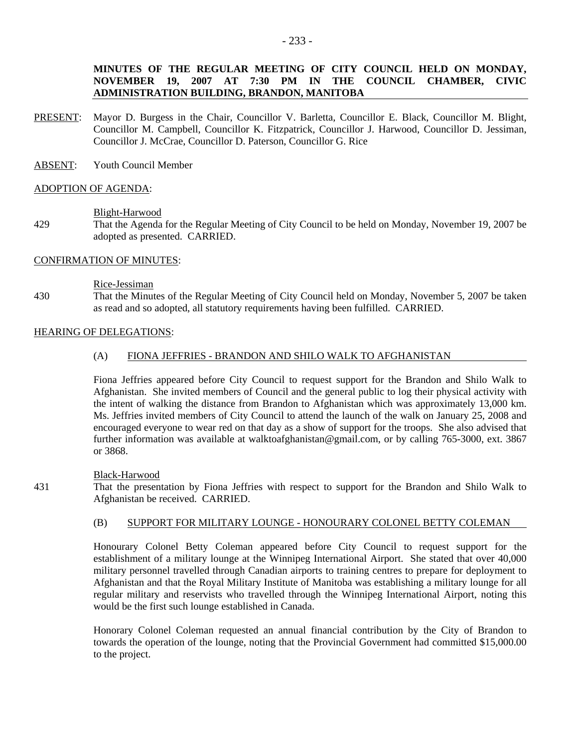- PRESENT: Mayor D. Burgess in the Chair, Councillor V. Barletta, Councillor E. Black, Councillor M. Blight, Councillor M. Campbell, Councillor K. Fitzpatrick, Councillor J. Harwood, Councillor D. Jessiman, Councillor J. McCrae, Councillor D. Paterson, Councillor G. Rice
- ABSENT: Youth Council Member

### ADOPTION OF AGENDA:

### Blight-Harwood

429 That the Agenda for the Regular Meeting of City Council to be held on Monday, November 19, 2007 be adopted as presented. CARRIED.

## CONFIRMATION OF MINUTES:

#### Rice-Jessiman

430 That the Minutes of the Regular Meeting of City Council held on Monday, November 5, 2007 be taken as read and so adopted, all statutory requirements having been fulfilled. CARRIED.

# HEARING OF DELEGATIONS:

## (A) FIONA JEFFRIES - BRANDON AND SHILO WALK TO AFGHANISTAN

Fiona Jeffries appeared before City Council to request support for the Brandon and Shilo Walk to Afghanistan. She invited members of Council and the general public to log their physical activity with the intent of walking the distance from Brandon to Afghanistan which was approximately 13,000 km. Ms. Jeffries invited members of City Council to attend the launch of the walk on January 25, 2008 and encouraged everyone to wear red on that day as a show of support for the troops. She also advised that further information was available at walktoafghanistan@gmail.com, or by calling 765-3000, ext. 3867 or 3868.

### Black-Harwood

431 That the presentation by Fiona Jeffries with respect to support for the Brandon and Shilo Walk to Afghanistan be received. CARRIED.

### (B) SUPPORT FOR MILITARY LOUNGE - HONOURARY COLONEL BETTY COLEMAN

Honourary Colonel Betty Coleman appeared before City Council to request support for the establishment of a military lounge at the Winnipeg International Airport. She stated that over 40,000 military personnel travelled through Canadian airports to training centres to prepare for deployment to Afghanistan and that the Royal Military Institute of Manitoba was establishing a military lounge for all regular military and reservists who travelled through the Winnipeg International Airport, noting this would be the first such lounge established in Canada.

Honorary Colonel Coleman requested an annual financial contribution by the City of Brandon to towards the operation of the lounge, noting that the Provincial Government had committed \$15,000.00 to the project.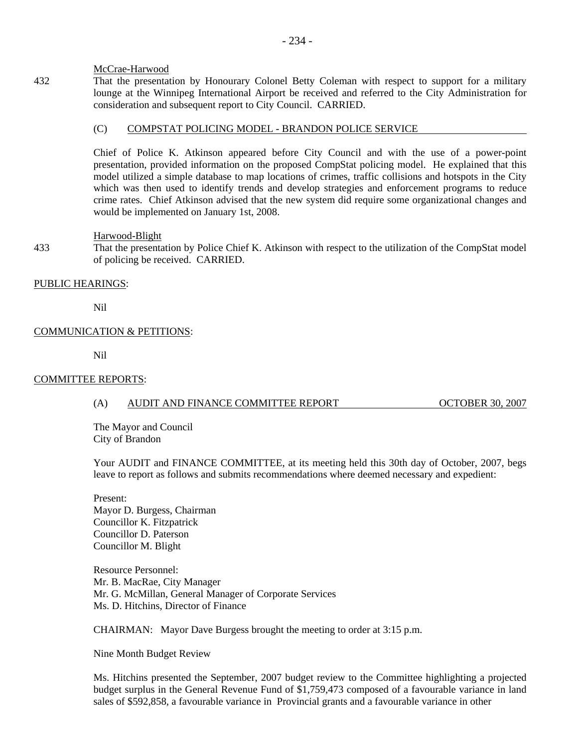## McCrae-Harwood

432 That the presentation by Honourary Colonel Betty Coleman with respect to support for a military lounge at the Winnipeg International Airport be received and referred to the City Administration for consideration and subsequent report to City Council. CARRIED.

## (C) COMPSTAT POLICING MODEL - BRANDON POLICE SERVICE

Chief of Police K. Atkinson appeared before City Council and with the use of a power-point presentation, provided information on the proposed CompStat policing model. He explained that this model utilized a simple database to map locations of crimes, traffic collisions and hotspots in the City which was then used to identify trends and develop strategies and enforcement programs to reduce crime rates. Chief Atkinson advised that the new system did require some organizational changes and would be implemented on January 1st, 2008.

## Harwood-Blight

433 That the presentation by Police Chief K. Atkinson with respect to the utilization of the CompStat model of policing be received. CARRIED.

## PUBLIC HEARINGS:

Nil

# COMMUNICATION & PETITIONS:

Nil

## COMMITTEE REPORTS:

# (A) AUDIT AND FINANCE COMMITTEE REPORT OCTOBER 30, 2007

The Mayor and Council City of Brandon

Your AUDIT and FINANCE COMMITTEE, at its meeting held this 30th day of October, 2007, begs leave to report as follows and submits recommendations where deemed necessary and expedient:

Present: Mayor D. Burgess, Chairman Councillor K. Fitzpatrick Councillor D. Paterson Councillor M. Blight

Resource Personnel: Mr. B. MacRae, City Manager Mr. G. McMillan, General Manager of Corporate Services Ms. D. Hitchins, Director of Finance

CHAIRMAN: Mayor Dave Burgess brought the meeting to order at 3:15 p.m.

Nine Month Budget Review

Ms. Hitchins presented the September, 2007 budget review to the Committee highlighting a projected budget surplus in the General Revenue Fund of \$1,759,473 composed of a favourable variance in land sales of \$592,858, a favourable variance in Provincial grants and a favourable variance in other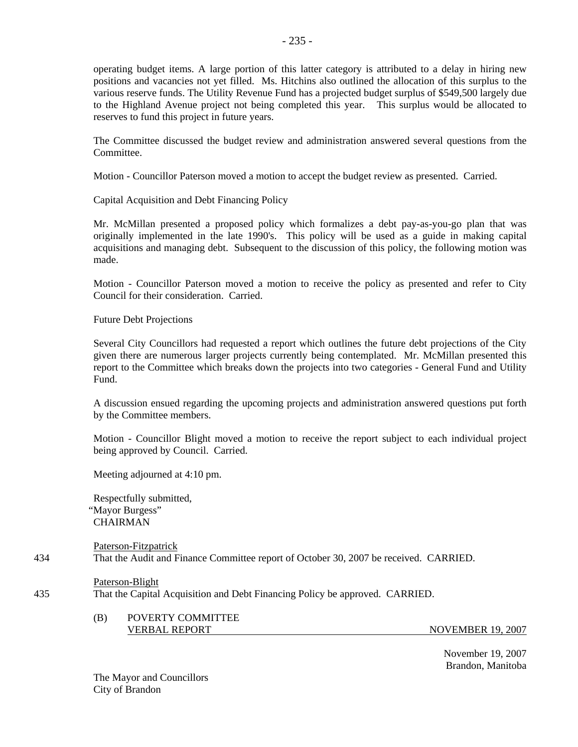operating budget items. A large portion of this latter category is attributed to a delay in hiring new positions and vacancies not yet filled. Ms. Hitchins also outlined the allocation of this surplus to the various reserve funds. The Utility Revenue Fund has a projected budget surplus of \$549,500 largely due to the Highland Avenue project not being completed this year. This surplus would be allocated to reserves to fund this project in future years.

- 235 -

The Committee discussed the budget review and administration answered several questions from the Committee.

Motion - Councillor Paterson moved a motion to accept the budget review as presented. Carried.

Capital Acquisition and Debt Financing Policy

Mr. McMillan presented a proposed policy which formalizes a debt pay-as-you-go plan that was originally implemented in the late 1990's. This policy will be used as a guide in making capital acquisitions and managing debt. Subsequent to the discussion of this policy, the following motion was made.

Motion - Councillor Paterson moved a motion to receive the policy as presented and refer to City Council for their consideration. Carried.

Future Debt Projections

Several City Councillors had requested a report which outlines the future debt projections of the City given there are numerous larger projects currently being contemplated. Mr. McMillan presented this report to the Committee which breaks down the projects into two categories - General Fund and Utility Fund.

A discussion ensued regarding the upcoming projects and administration answered questions put forth by the Committee members.

Motion - Councillor Blight moved a motion to receive the report subject to each individual project being approved by Council. Carried.

Meeting adjourned at 4:10 pm.

Respectfully submitted, "Mayor Burgess" CHAIRMAN

Paterson-Fitzpatrick 434 That the Audit and Finance Committee report of October 30, 2007 be received. CARRIED.

Paterson-Blight

435 That the Capital Acquisition and Debt Financing Policy be approved. CARRIED.

(B) POVERTY COMMITTEE VERBAL REPORT NOVEMBER 19, 2007

 November 19, 2007 Brandon, Manitoba

The Mayor and Councillors City of Brandon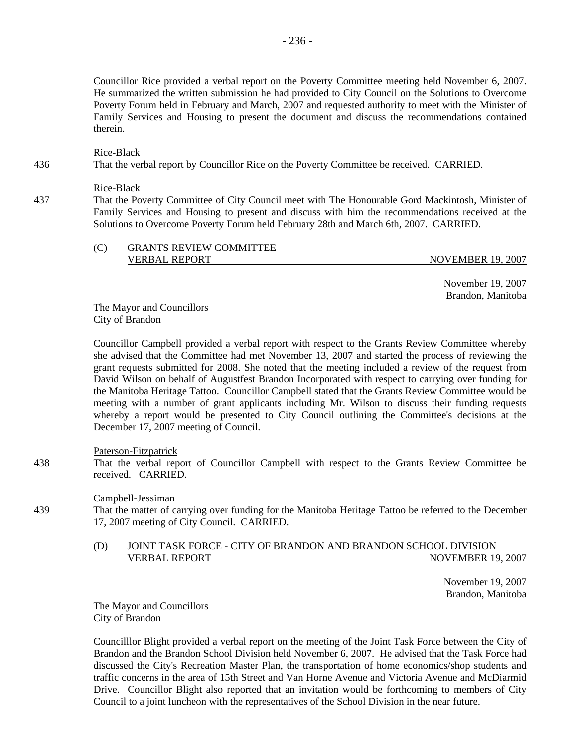Councillor Rice provided a verbal report on the Poverty Committee meeting held November 6, 2007. He summarized the written submission he had provided to City Council on the Solutions to Overcome Poverty Forum held in February and March, 2007 and requested authority to meet with the Minister of Family Services and Housing to present the document and discuss the recommendations contained therein.

#### Rice-Black

436 That the verbal report by Councillor Rice on the Poverty Committee be received. CARRIED.

#### Rice-Black

437 That the Poverty Committee of City Council meet with The Honourable Gord Mackintosh, Minister of Family Services and Housing to present and discuss with him the recommendations received at the Solutions to Overcome Poverty Forum held February 28th and March 6th, 2007. CARRIED.

| (C) | <b>GRANTS REVIEW COMMITTEE</b> |                          |
|-----|--------------------------------|--------------------------|
|     | <b>VERBAL REPORT</b>           | <b>NOVEMBER 19, 2007</b> |

 November 19, 2007 Brandon, Manitoba

The Mayor and Councillors City of Brandon

Councillor Campbell provided a verbal report with respect to the Grants Review Committee whereby she advised that the Committee had met November 13, 2007 and started the process of reviewing the grant requests submitted for 2008. She noted that the meeting included a review of the request from David Wilson on behalf of Augustfest Brandon Incorporated with respect to carrying over funding for the Manitoba Heritage Tattoo. Councillor Campbell stated that the Grants Review Committee would be meeting with a number of grant applicants including Mr. Wilson to discuss their funding requests whereby a report would be presented to City Council outlining the Committee's decisions at the December 17, 2007 meeting of Council.

## Paterson-Fitzpatrick

438 That the verbal report of Councillor Campbell with respect to the Grants Review Committee be received. CARRIED.

### Campbell-Jessiman

439 That the matter of carrying over funding for the Manitoba Heritage Tattoo be referred to the December 17, 2007 meeting of City Council. CARRIED.

# (D) JOINT TASK FORCE - CITY OF BRANDON AND BRANDON SCHOOL DIVISION VERBAL REPORT NOVEMBER 19, 2007

 November 19, 2007 Brandon, Manitoba

The Mayor and Councillors City of Brandon

Councilllor Blight provided a verbal report on the meeting of the Joint Task Force between the City of Brandon and the Brandon School Division held November 6, 2007. He advised that the Task Force had discussed the City's Recreation Master Plan, the transportation of home economics/shop students and traffic concerns in the area of 15th Street and Van Horne Avenue and Victoria Avenue and McDiarmid Drive. Councillor Blight also reported that an invitation would be forthcoming to members of City Council to a joint luncheon with the representatives of the School Division in the near future.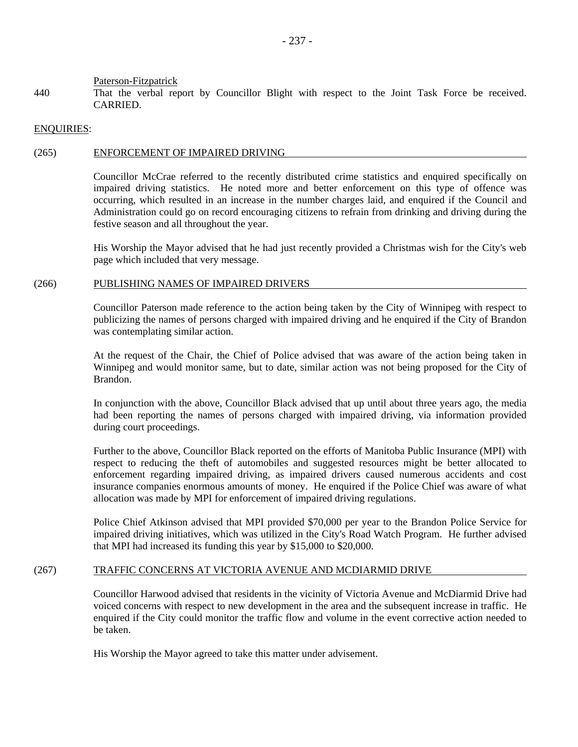#### Paterson-Fitzpatrick

440 That the verbal report by Councillor Blight with respect to the Joint Task Force be received. CARRIED.

### ENQUIRIES:

### (265) ENFORCEMENT OF IMPAIRED DRIVING

Councillor McCrae referred to the recently distributed crime statistics and enquired specifically on impaired driving statistics. He noted more and better enforcement on this type of offence was occurring, which resulted in an increase in the number charges laid, and enquired if the Council and Administration could go on record encouraging citizens to refrain from drinking and driving during the festive season and all throughout the year.

His Worship the Mayor advised that he had just recently provided a Christmas wish for the City's web page which included that very message.

#### (266) PUBLISHING NAMES OF IMPAIRED DRIVERS

Councillor Paterson made reference to the action being taken by the City of Winnipeg with respect to publicizing the names of persons charged with impaired driving and he enquired if the City of Brandon was contemplating similar action.

At the request of the Chair, the Chief of Police advised that was aware of the action being taken in Winnipeg and would monitor same, but to date, similar action was not being proposed for the City of Brandon.

In conjunction with the above, Councillor Black advised that up until about three years ago, the media had been reporting the names of persons charged with impaired driving, via information provided during court proceedings.

Further to the above, Councillor Black reported on the efforts of Manitoba Public Insurance (MPI) with respect to reducing the theft of automobiles and suggested resources might be better allocated to enforcement regarding impaired driving, as impaired drivers caused numerous accidents and cost insurance companies enormous amounts of money. He enquired if the Police Chief was aware of what allocation was made by MPI for enforcement of impaired driving regulations.

Police Chief Atkinson advised that MPI provided \$70,000 per year to the Brandon Police Service for impaired driving initiatives, which was utilized in the City's Road Watch Program. He further advised that MPI had increased its funding this year by \$15,000 to \$20,000.

### (267) TRAFFIC CONCERNS AT VICTORIA AVENUE AND MCDIARMID DRIVE

Councillor Harwood advised that residents in the vicinity of Victoria Avenue and McDiarmid Drive had voiced concerns with respect to new development in the area and the subsequent increase in traffic. He enquired if the City could monitor the traffic flow and volume in the event corrective action needed to be taken.

His Worship the Mayor agreed to take this matter under advisement.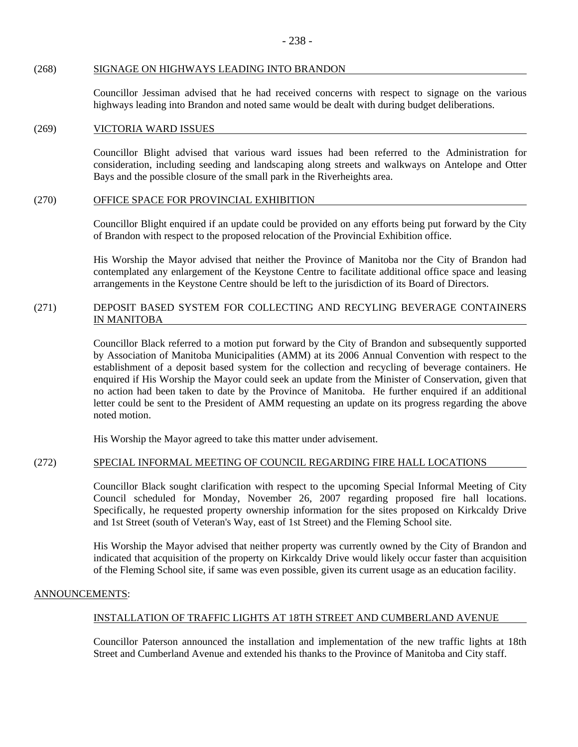### (268) SIGNAGE ON HIGHWAYS LEADING INTO BRANDON

Councillor Jessiman advised that he had received concerns with respect to signage on the various highways leading into Brandon and noted same would be dealt with during budget deliberations.

### (269) VICTORIA WARD ISSUES

Councillor Blight advised that various ward issues had been referred to the Administration for consideration, including seeding and landscaping along streets and walkways on Antelope and Otter Bays and the possible closure of the small park in the Riverheights area.

### (270) OFFICE SPACE FOR PROVINCIAL EXHIBITION

Councillor Blight enquired if an update could be provided on any efforts being put forward by the City of Brandon with respect to the proposed relocation of the Provincial Exhibition office.

His Worship the Mayor advised that neither the Province of Manitoba nor the City of Brandon had contemplated any enlargement of the Keystone Centre to facilitate additional office space and leasing arrangements in the Keystone Centre should be left to the jurisdiction of its Board of Directors.

## (271) DEPOSIT BASED SYSTEM FOR COLLECTING AND RECYLING BEVERAGE CONTAINERS IN MANITOBA

Councillor Black referred to a motion put forward by the City of Brandon and subsequently supported by Association of Manitoba Municipalities (AMM) at its 2006 Annual Convention with respect to the establishment of a deposit based system for the collection and recycling of beverage containers. He enquired if His Worship the Mayor could seek an update from the Minister of Conservation, given that no action had been taken to date by the Province of Manitoba. He further enquired if an additional letter could be sent to the President of AMM requesting an update on its progress regarding the above noted motion.

His Worship the Mayor agreed to take this matter under advisement.

# (272) SPECIAL INFORMAL MEETING OF COUNCIL REGARDING FIRE HALL LOCATIONS

Councillor Black sought clarification with respect to the upcoming Special Informal Meeting of City Council scheduled for Monday, November 26, 2007 regarding proposed fire hall locations. Specifically, he requested property ownership information for the sites proposed on Kirkcaldy Drive and 1st Street (south of Veteran's Way, east of 1st Street) and the Fleming School site.

His Worship the Mayor advised that neither property was currently owned by the City of Brandon and indicated that acquisition of the property on Kirkcaldy Drive would likely occur faster than acquisition of the Fleming School site, if same was even possible, given its current usage as an education facility.

# ANNOUNCEMENTS:

# INSTALLATION OF TRAFFIC LIGHTS AT 18TH STREET AND CUMBERLAND AVENUE

Councillor Paterson announced the installation and implementation of the new traffic lights at 18th Street and Cumberland Avenue and extended his thanks to the Province of Manitoba and City staff.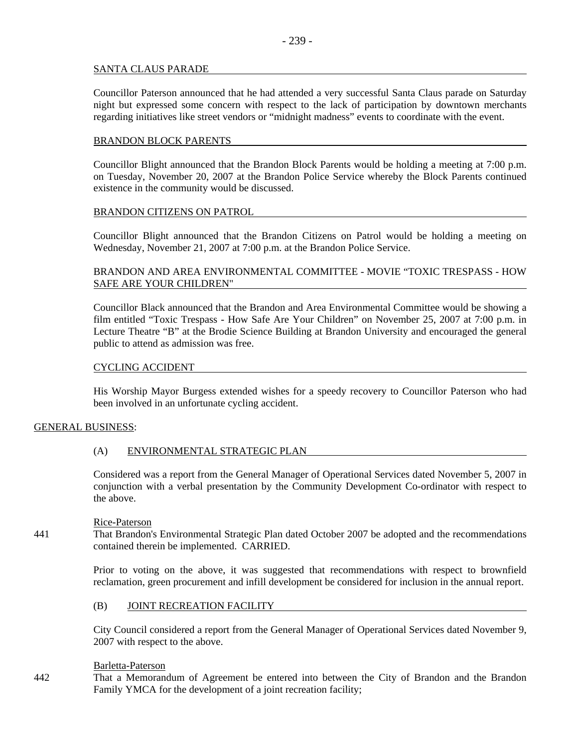## SANTA CLAUS PARADE

Councillor Paterson announced that he had attended a very successful Santa Claus parade on Saturday night but expressed some concern with respect to the lack of participation by downtown merchants regarding initiatives like street vendors or "midnight madness" events to coordinate with the event.

## BRANDON BLOCK PARENTS

Councillor Blight announced that the Brandon Block Parents would be holding a meeting at 7:00 p.m. on Tuesday, November 20, 2007 at the Brandon Police Service whereby the Block Parents continued existence in the community would be discussed.

## BRANDON CITIZENS ON PATROL

Councillor Blight announced that the Brandon Citizens on Patrol would be holding a meeting on Wednesday, November 21, 2007 at 7:00 p.m. at the Brandon Police Service.

# BRANDON AND AREA ENVIRONMENTAL COMMITTEE - MOVIE "TOXIC TRESPASS - HOW SAFE ARE YOUR CHILDREN"

Councillor Black announced that the Brandon and Area Environmental Committee would be showing a film entitled "Toxic Trespass - How Safe Are Your Children" on November 25, 2007 at 7:00 p.m. in Lecture Theatre "B" at the Brodie Science Building at Brandon University and encouraged the general public to attend as admission was free.

### CYCLING ACCIDENT

His Worship Mayor Burgess extended wishes for a speedy recovery to Councillor Paterson who had been involved in an unfortunate cycling accident.

### GENERAL BUSINESS:

# (A) ENVIRONMENTAL STRATEGIC PLAN

Considered was a report from the General Manager of Operational Services dated November 5, 2007 in conjunction with a verbal presentation by the Community Development Co-ordinator with respect to the above.

### Rice-Paterson

441 That Brandon's Environmental Strategic Plan dated October 2007 be adopted and the recommendations contained therein be implemented. CARRIED.

> Prior to voting on the above, it was suggested that recommendations with respect to brownfield reclamation, green procurement and infill development be considered for inclusion in the annual report.

### (B) JOINT RECREATION FACILITY

City Council considered a report from the General Manager of Operational Services dated November 9, 2007 with respect to the above.

### Barletta-Paterson

442 That a Memorandum of Agreement be entered into between the City of Brandon and the Brandon Family YMCA for the development of a joint recreation facility;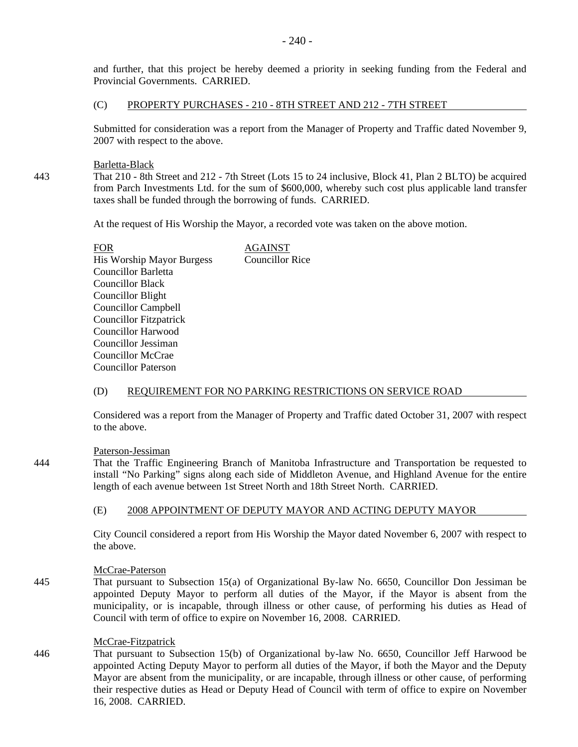and further, that this project be hereby deemed a priority in seeking funding from the Federal and Provincial Governments. CARRIED.

### (C) PROPERTY PURCHASES - 210 - 8TH STREET AND 212 - 7TH STREET

Submitted for consideration was a report from the Manager of Property and Traffic dated November 9, 2007 with respect to the above.

Barletta-Black

443 That 210 - 8th Street and 212 - 7th Street (Lots 15 to 24 inclusive, Block 41, Plan 2 BLTO) be acquired from Parch Investments Ltd. for the sum of \$600,000, whereby such cost plus applicable land transfer taxes shall be funded through the borrowing of funds. CARRIED.

At the request of His Worship the Mayor, a recorded vote was taken on the above motion.

| AGAINST                |
|------------------------|
| <b>Councillor Rice</b> |
|                        |
|                        |
|                        |
|                        |
|                        |
|                        |
|                        |
|                        |
|                        |
|                        |

# (D) REQUIREMENT FOR NO PARKING RESTRICTIONS ON SERVICE ROAD

Considered was a report from the Manager of Property and Traffic dated October 31, 2007 with respect to the above.

Paterson-Jessiman

444 That the Traffic Engineering Branch of Manitoba Infrastructure and Transportation be requested to install "No Parking" signs along each side of Middleton Avenue, and Highland Avenue for the entire length of each avenue between 1st Street North and 18th Street North. CARRIED.

# (E) 2008 APPOINTMENT OF DEPUTY MAYOR AND ACTING DEPUTY MAYOR

City Council considered a report from His Worship the Mayor dated November 6, 2007 with respect to the above.

# McCrae-Paterson

445 That pursuant to Subsection 15(a) of Organizational By-law No. 6650, Councillor Don Jessiman be appointed Deputy Mayor to perform all duties of the Mayor, if the Mayor is absent from the municipality, or is incapable, through illness or other cause, of performing his duties as Head of Council with term of office to expire on November 16, 2008. CARRIED.

## McCrae-Fitzpatrick

446 That pursuant to Subsection 15(b) of Organizational by-law No. 6650, Councillor Jeff Harwood be appointed Acting Deputy Mayor to perform all duties of the Mayor, if both the Mayor and the Deputy Mayor are absent from the municipality, or are incapable, through illness or other cause, of performing their respective duties as Head or Deputy Head of Council with term of office to expire on November 16, 2008. CARRIED.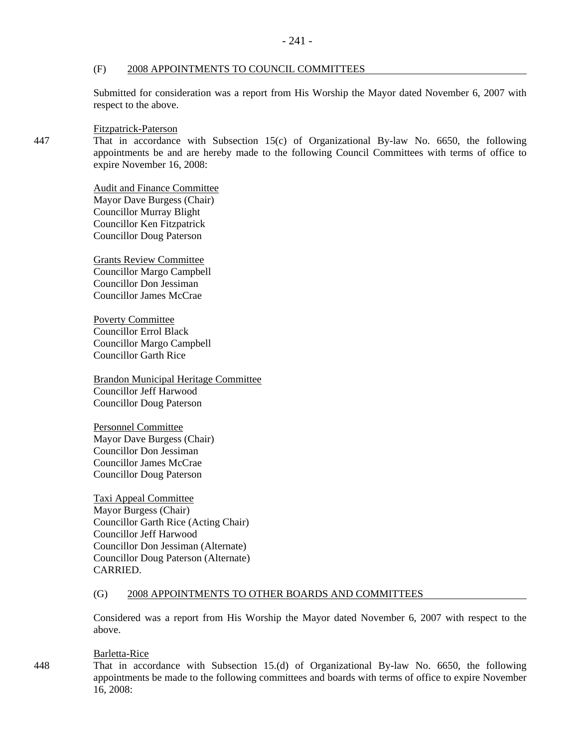### (F) 2008 APPOINTMENTS TO COUNCIL COMMITTEES

Submitted for consideration was a report from His Worship the Mayor dated November 6, 2007 with respect to the above.

Fitzpatrick-Paterson

447 That in accordance with Subsection 15(c) of Organizational By-law No. 6650, the following appointments be and are hereby made to the following Council Committees with terms of office to expire November 16, 2008:

> Audit and Finance Committee Mayor Dave Burgess (Chair) Councillor Murray Blight Councillor Ken Fitzpatrick Councillor Doug Paterson

Grants Review Committee Councillor Margo Campbell Councillor Don Jessiman Councillor James McCrae

Poverty Committee Councillor Errol Black Councillor Margo Campbell Councillor Garth Rice

Brandon Municipal Heritage Committee Councillor Jeff Harwood Councillor Doug Paterson

Personnel Committee Mayor Dave Burgess (Chair) Councillor Don Jessiman Councillor James McCrae Councillor Doug Paterson

Taxi Appeal Committee Mayor Burgess (Chair) Councillor Garth Rice (Acting Chair) Councillor Jeff Harwood Councillor Don Jessiman (Alternate) Councillor Doug Paterson (Alternate) CARRIED.

### (G) 2008 APPOINTMENTS TO OTHER BOARDS AND COMMITTEES

Considered was a report from His Worship the Mayor dated November 6, 2007 with respect to the above.

#### Barletta-Rice

448 That in accordance with Subsection 15.(d) of Organizational By-law No. 6650, the following appointments be made to the following committees and boards with terms of office to expire November 16, 2008: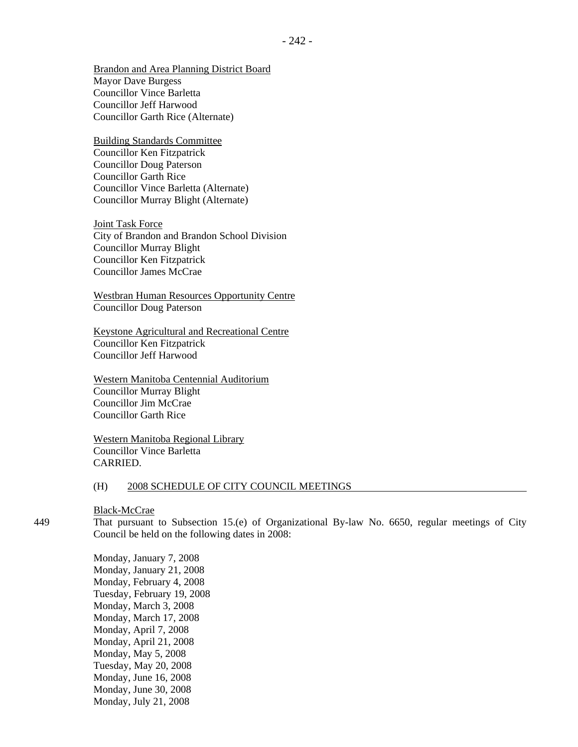Brandon and Area Planning District Board Mayor Dave Burgess Councillor Vince Barletta Councillor Jeff Harwood Councillor Garth Rice (Alternate)

Building Standards Committee Councillor Ken Fitzpatrick Councillor Doug Paterson Councillor Garth Rice Councillor Vince Barletta (Alternate) Councillor Murray Blight (Alternate)

Joint Task Force City of Brandon and Brandon School Division Councillor Murray Blight Councillor Ken Fitzpatrick Councillor James McCrae

Westbran Human Resources Opportunity Centre Councillor Doug Paterson

Keystone Agricultural and Recreational Centre Councillor Ken Fitzpatrick Councillor Jeff Harwood

Western Manitoba Centennial Auditorium Councillor Murray Blight Councillor Jim McCrae Councillor Garth Rice

Western Manitoba Regional Library Councillor Vince Barletta CARRIED.

#### (H) 2008 SCHEDULE OF CITY COUNCIL MEETINGS

Black-McCrae

449 That pursuant to Subsection 15.(e) of Organizational By-law No. 6650, regular meetings of City Council be held on the following dates in 2008:

> Monday, January 7, 2008 Monday, January 21, 2008 Monday, February 4, 2008 Tuesday, February 19, 2008 Monday, March 3, 2008 Monday, March 17, 2008 Monday, April 7, 2008 Monday, April 21, 2008 Monday, May 5, 2008 Tuesday, May 20, 2008 Monday, June 16, 2008 Monday, June 30, 2008 Monday, July 21, 2008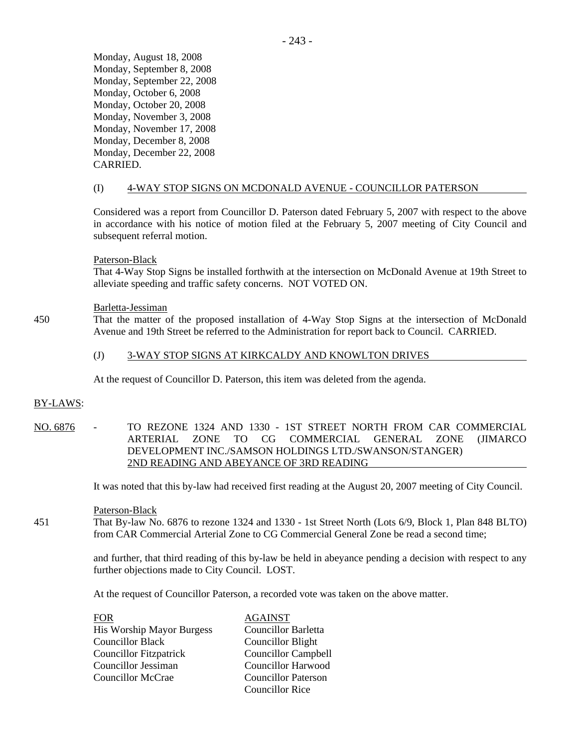Monday, August 18, 2008 Monday, September 8, 2008 Monday, September 22, 2008 Monday, October 6, 2008 Monday, October 20, 2008 Monday, November 3, 2008 Monday, November 17, 2008 Monday, December 8, 2008 Monday, December 22, 2008 CARRIED.

## (I) 4-WAY STOP SIGNS ON MCDONALD AVENUE - COUNCILLOR PATERSON

Considered was a report from Councillor D. Paterson dated February 5, 2007 with respect to the above in accordance with his notice of motion filed at the February 5, 2007 meeting of City Council and subsequent referral motion.

#### Paterson-Black

That 4-Way Stop Signs be installed forthwith at the intersection on McDonald Avenue at 19th Street to alleviate speeding and traffic safety concerns. NOT VOTED ON.

#### Barletta-Jessiman

450 That the matter of the proposed installation of 4-Way Stop Signs at the intersection of McDonald Avenue and 19th Street be referred to the Administration for report back to Council. CARRIED.

### (J) 3-WAY STOP SIGNS AT KIRKCALDY AND KNOWLTON DRIVES

At the request of Councillor D. Paterson, this item was deleted from the agenda.

#### BY-LAWS:

NO. 6876 - TO REZONE 1324 AND 1330 - 1ST STREET NORTH FROM CAR COMMERCIAL ARTERIAL ZONE TO CG COMMERCIAL GENERAL ZONE (JIMARCO DEVELOPMENT INC./SAMSON HOLDINGS LTD./SWANSON/STANGER) 2ND READING AND ABEYANCE OF 3RD READING

It was noted that this by-law had received first reading at the August 20, 2007 meeting of City Council.

#### Paterson-Black

451 That By-law No. 6876 to rezone 1324 and 1330 - 1st Street North (Lots 6/9, Block 1, Plan 848 BLTO) from CAR Commercial Arterial Zone to CG Commercial General Zone be read a second time;

> and further, that third reading of this by-law be held in abeyance pending a decision with respect to any further objections made to City Council. LOST.

At the request of Councillor Paterson, a recorded vote was taken on the above matter.

| <b>FOR</b>                       | <b>AGAINST</b>             |
|----------------------------------|----------------------------|
| <b>His Worship Mayor Burgess</b> | Councillor Barletta        |
| <b>Councillor Black</b>          | <b>Councillor Blight</b>   |
| <b>Councillor Fitzpatrick</b>    | <b>Councillor Campbell</b> |
| Councillor Jessiman              | <b>Councillor Harwood</b>  |
| <b>Councillor McCrae</b>         | <b>Councillor Paterson</b> |
|                                  | <b>Councillor Rice</b>     |